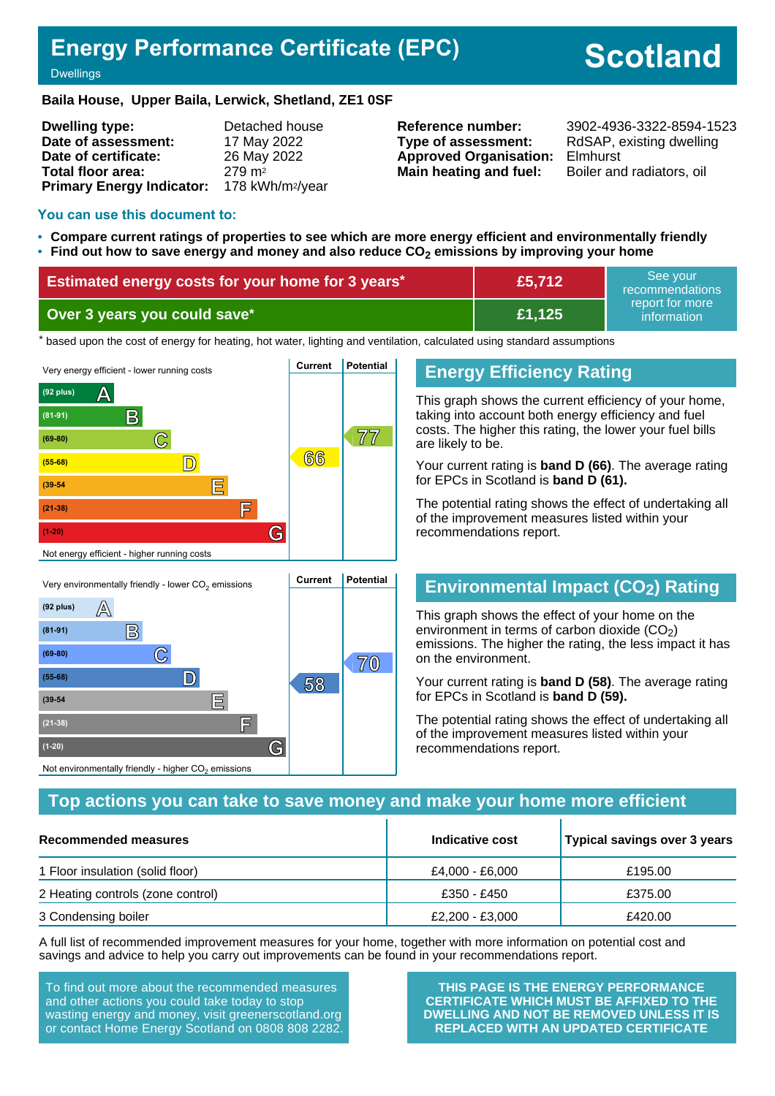## **Energy Performance Certificate (EPC)**

# **Scotland**

#### **Dwellings**

#### **Baila House, Upper Baila, Lerwick, Shetland, ZE1 0SF**

| <b>Dwelling type:</b>                                  | Detached house     |
|--------------------------------------------------------|--------------------|
| Date of assessment:                                    | 17 May 2022        |
| Date of certificate:                                   | 26 May 2022        |
| Total floor area:                                      | 279 m <sup>2</sup> |
| Primary Energy Indicator: 178 kWh/m <sup>2</sup> /year |                    |

**Type of assessment:** RdSAP, existing dwelling **Approved Organisation:** Elmhurst **Main heating and fuel:** Boiler and radiators, oil

**Reference number:** 3902-4936-3322-8594-1523

#### **You can use this document to:**

- **Compare current ratings of properties to see which are more energy efficient and environmentally friendly**
- **Find out how to save energy and money and also reduce CO2 emissions by improving your home**

| <b>Estimated energy costs for your home for 3 years*</b> | £5,712 | See vour<br>recommendations    |
|----------------------------------------------------------|--------|--------------------------------|
| Over 3 years you could save*                             | £1,125 | report for more<br>information |

the based upon the cost of energy for heating, hot water, lighting and ventilation, calculated using standard assumptions



## **Energy Efficiency Rating**

This graph shows the current efficiency of your home, taking into account both energy efficiency and fuel costs. The higher this rating, the lower your fuel bills are likely to be.

Your current rating is **band D (66)**. The average rating for EPCs in Scotland is **band D (61).**

The potential rating shows the effect of undertaking all of the improvement measures listed within your recommendations report.

## **Environmental Impact (CO2) Rating**

This graph shows the effect of your home on the environment in terms of carbon dioxide  $(CO<sub>2</sub>)$ emissions. The higher the rating, the less impact it has on the environment.

Your current rating is **band D (58)**. The average rating for EPCs in Scotland is **band D (59).**

The potential rating shows the effect of undertaking all of the improvement measures listed within your recommendations report.

#### **Top actions you can take to save money and make your home more efficient**

| Recommended measures              | Indicative cost | Typical savings over 3 years |
|-----------------------------------|-----------------|------------------------------|
| 1 Floor insulation (solid floor)  | £4,000 - £6,000 | £195.00                      |
| 2 Heating controls (zone control) | £350 - £450     | £375.00                      |
| 3 Condensing boiler               | £2,200 - £3,000 | £420.00                      |

A full list of recommended improvement measures for your home, together with more information on potential cost and savings and advice to help you carry out improvements can be found in your recommendations report.

To find out more about the recommended measures and other actions you could take today to stop wasting energy and money, visit greenerscotland.org or contact Home Energy Scotland on 0808 808 2282.

Not environmentally friendly - higher  $\mathrm{CO}_2$  emissions

**THIS PAGE IS THE ENERGY PERFORMANCE CERTIFICATE WHICH MUST BE AFFIXED TO THE DWELLING AND NOT BE REMOVED UNLESS IT IS REPLACED WITH AN UPDATED CERTIFICATE**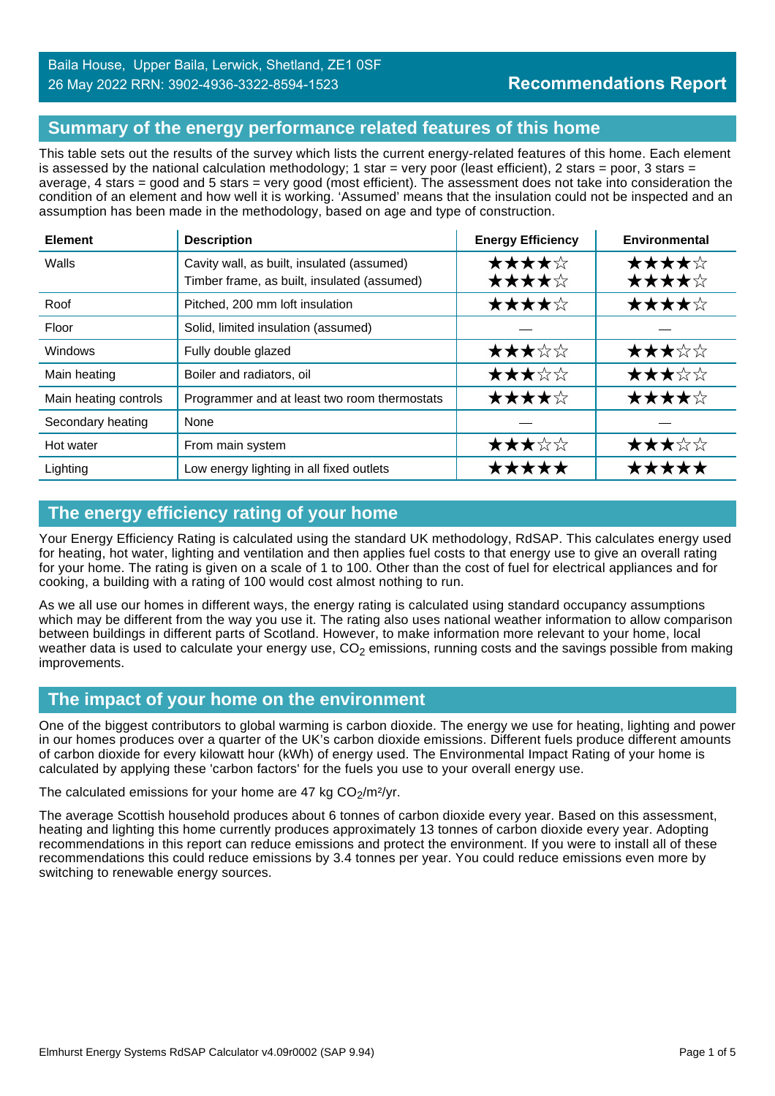## **Summary of the energy performance related features of this home**

This table sets out the results of the survey which lists the current energy-related features of this home. Each element is assessed by the national calculation methodology; 1 star = very poor (least efficient), 2 stars = poor, 3 stars = average, 4 stars = good and 5 stars = very good (most efficient). The assessment does not take into consideration the condition of an element and how well it is working. 'Assumed' means that the insulation could not be inspected and an assumption has been made in the methodology, based on age and type of construction.

| <b>Element</b>        | <b>Description</b>                                                                        | <b>Energy Efficiency</b> | Environmental  |
|-----------------------|-------------------------------------------------------------------------------------------|--------------------------|----------------|
| Walls                 | Cavity wall, as built, insulated (assumed)<br>Timber frame, as built, insulated (assumed) | ★★★★☆<br>★★★★☆           | ★★★★☆<br>★★★★☆ |
| Roof                  | Pitched, 200 mm loft insulation                                                           | ★★★★☆                    | ★★★★☆          |
| Floor                 | Solid, limited insulation (assumed)                                                       |                          |                |
| <b>Windows</b>        | Fully double glazed                                                                       | ★★★☆☆                    | ★★★☆☆          |
| Main heating          | Boiler and radiators, oil                                                                 | ★★★☆☆                    | ★★★☆☆          |
| Main heating controls | Programmer and at least two room thermostats                                              | ★★★★☆                    | ★★★★☆          |
| Secondary heating     | None                                                                                      |                          |                |
| Hot water             | From main system                                                                          | ★★★☆☆                    | ★★★☆☆          |
| Lighting              | Low energy lighting in all fixed outlets                                                  | *****                    | <b>*****</b>   |

## **The energy efficiency rating of your home**

Your Energy Efficiency Rating is calculated using the standard UK methodology, RdSAP. This calculates energy used for heating, hot water, lighting and ventilation and then applies fuel costs to that energy use to give an overall rating for your home. The rating is given on a scale of 1 to 100. Other than the cost of fuel for electrical appliances and for cooking, a building with a rating of 100 would cost almost nothing to run.

As we all use our homes in different ways, the energy rating is calculated using standard occupancy assumptions which may be different from the way you use it. The rating also uses national weather information to allow comparison between buildings in different parts of Scotland. However, to make information more relevant to your home, local weather data is used to calculate your energy use,  $CO<sub>2</sub>$  emissions, running costs and the savings possible from making improvements.

## **The impact of your home on the environment**

One of the biggest contributors to global warming is carbon dioxide. The energy we use for heating, lighting and power in our homes produces over a quarter of the UK's carbon dioxide emissions. Different fuels produce different amounts of carbon dioxide for every kilowatt hour (kWh) of energy used. The Environmental Impact Rating of your home is calculated by applying these 'carbon factors' for the fuels you use to your overall energy use.

#### The calculated emissions for your home are 47 kg  $CO<sub>2</sub>/m<sup>2</sup>/yr$ .

The average Scottish household produces about 6 tonnes of carbon dioxide every year. Based on this assessment, heating and lighting this home currently produces approximately 13 tonnes of carbon dioxide every year. Adopting recommendations in this report can reduce emissions and protect the environment. If you were to install all of these recommendations this could reduce emissions by 3.4 tonnes per year. You could reduce emissions even more by switching to renewable energy sources.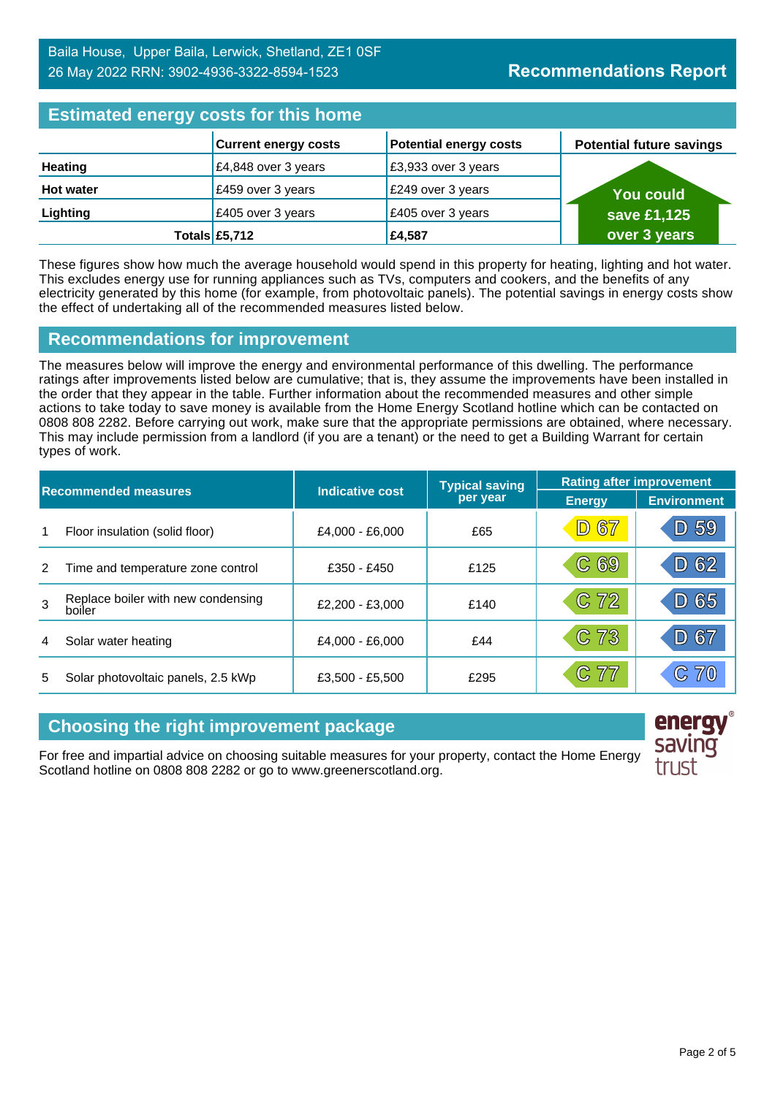## **Estimated energy costs for this home**

| <b>Extributed virtigly exercise the fighter</b> |                             |                               |                                 |  |
|-------------------------------------------------|-----------------------------|-------------------------------|---------------------------------|--|
|                                                 | <b>Current energy costs</b> | <b>Potential energy costs</b> | <b>Potential future savings</b> |  |
| <b>Heating</b>                                  | £4,848 over 3 years         | £3,933 over 3 years           |                                 |  |
| <b>Hot water</b>                                | £459 over 3 years           | £249 over 3 years             | <b>You could</b>                |  |
| Lighting                                        | £405 over 3 years           | £405 over 3 years             | save £1,125                     |  |
|                                                 | Totals £5,712               | £4,587                        | over 3 years                    |  |

These figures show how much the average household would spend in this property for heating, lighting and hot water. This excludes energy use for running appliances such as TVs, computers and cookers, and the benefits of any electricity generated by this home (for example, from photovoltaic panels). The potential savings in energy costs show the effect of undertaking all of the recommended measures listed below.

#### **Recommendations for improvement**

The measures below will improve the energy and environmental performance of this dwelling. The performance ratings after improvements listed below are cumulative; that is, they assume the improvements have been installed in the order that they appear in the table. Further information about the recommended measures and other simple actions to take today to save money is available from the Home Energy Scotland hotline which can be contacted on 0808 808 2282. Before carrying out work, make sure that the appropriate permissions are obtained, where necessary. This may include permission from a landlord (if you are a tenant) or the need to get a Building Warrant for certain types of work.

| <b>Recommended measures</b> |                                              |                 | <b>Typical saving</b> | <b>Rating after improvement</b> |                    |
|-----------------------------|----------------------------------------------|-----------------|-----------------------|---------------------------------|--------------------|
|                             |                                              | Indicative cost | per year              | <b>Energy</b>                   | <b>Environment</b> |
| 1                           | Floor insulation (solid floor)               | £4,000 - £6,000 | £65                   | <b>D67</b>                      | D 59               |
| 2                           | Time and temperature zone control            | £350 - £450     | £125                  | C69                             | D 62               |
| 3                           | Replace boiler with new condensing<br>boiler | £2,200 - £3,000 | £140                  | C 72                            | 65<br>$\mathsf{D}$ |
| 4                           | Solar water heating                          | £4,000 - £6,000 | £44                   | C 73                            | D 67               |
| 5                           | Solar photovoltaic panels, 2.5 kWp           | £3,500 - £5,500 | £295                  | C 77                            | C70                |

## **Choosing the right improvement package**

For free and impartial advice on choosing suitable measures for your property, contact the Home Energy Scotland hotline on 0808 808 2282 or go to www.greenerscotland.org.

energy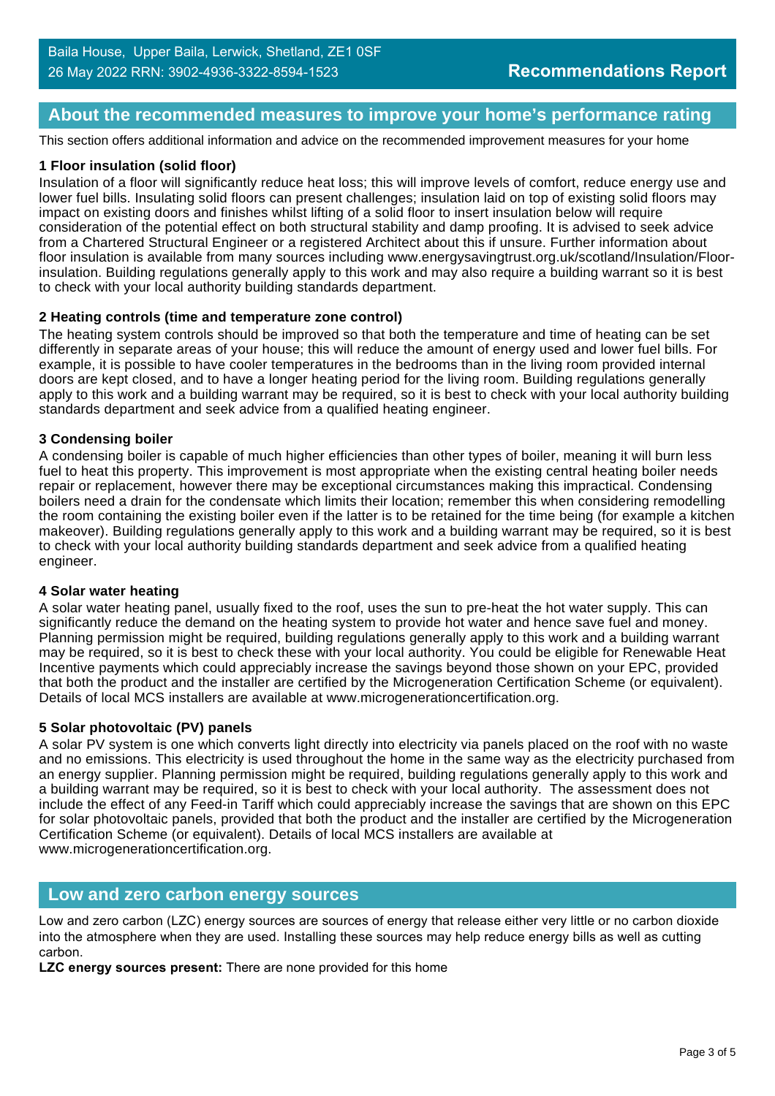## **About the recommended measures to improve your home's performance rating**

This section offers additional information and advice on the recommended improvement measures for your home

#### **1 Floor insulation (solid floor)**

Insulation of a floor will significantly reduce heat loss; this will improve levels of comfort, reduce energy use and lower fuel bills. Insulating solid floors can present challenges; insulation laid on top of existing solid floors may impact on existing doors and finishes whilst lifting of a solid floor to insert insulation below will require consideration of the potential effect on both structural stability and damp proofing. It is advised to seek advice from a Chartered Structural Engineer or a registered Architect about this if unsure. Further information about floor insulation is available from many sources including www.energysavingtrust.org.uk/scotland/Insulation/Floorinsulation. Building regulations generally apply to this work and may also require a building warrant so it is best to check with your local authority building standards department.

#### **2 Heating controls (time and temperature zone control)**

The heating system controls should be improved so that both the temperature and time of heating can be set differently in separate areas of your house; this will reduce the amount of energy used and lower fuel bills. For example, it is possible to have cooler temperatures in the bedrooms than in the living room provided internal doors are kept closed, and to have a longer heating period for the living room. Building regulations generally apply to this work and a building warrant may be required, so it is best to check with your local authority building standards department and seek advice from a qualified heating engineer.

#### **3 Condensing boiler**

A condensing boiler is capable of much higher efficiencies than other types of boiler, meaning it will burn less fuel to heat this property. This improvement is most appropriate when the existing central heating boiler needs repair or replacement, however there may be exceptional circumstances making this impractical. Condensing boilers need a drain for the condensate which limits their location; remember this when considering remodelling the room containing the existing boiler even if the latter is to be retained for the time being (for example a kitchen makeover). Building regulations generally apply to this work and a building warrant may be required, so it is best to check with your local authority building standards department and seek advice from a qualified heating engineer.

#### **4 Solar water heating**

A solar water heating panel, usually fixed to the roof, uses the sun to pre-heat the hot water supply. This can significantly reduce the demand on the heating system to provide hot water and hence save fuel and money. Planning permission might be required, building regulations generally apply to this work and a building warrant may be required, so it is best to check these with your local authority. You could be eligible for Renewable Heat Incentive payments which could appreciably increase the savings beyond those shown on your EPC, provided that both the product and the installer are certified by the Microgeneration Certification Scheme (or equivalent). Details of local MCS installers are available at www.microgenerationcertification.org.

#### **5 Solar photovoltaic (PV) panels**

A solar PV system is one which converts light directly into electricity via panels placed on the roof with no waste and no emissions. This electricity is used throughout the home in the same way as the electricity purchased from an energy supplier. Planning permission might be required, building regulations generally apply to this work and a building warrant may be required, so it is best to check with your local authority. The assessment does not include the effect of any Feed-in Tariff which could appreciably increase the savings that are shown on this EPC for solar photovoltaic panels, provided that both the product and the installer are certified by the Microgeneration Certification Scheme (or equivalent). Details of local MCS installers are available at www.microgenerationcertification.org.

#### **Low and zero carbon energy sources**

Low and zero carbon (LZC) energy sources are sources of energy that release either very little or no carbon dioxide into the atmosphere when they are used. Installing these sources may help reduce energy bills as well as cutting carbon.

**LZC energy sources present:** There are none provided for this home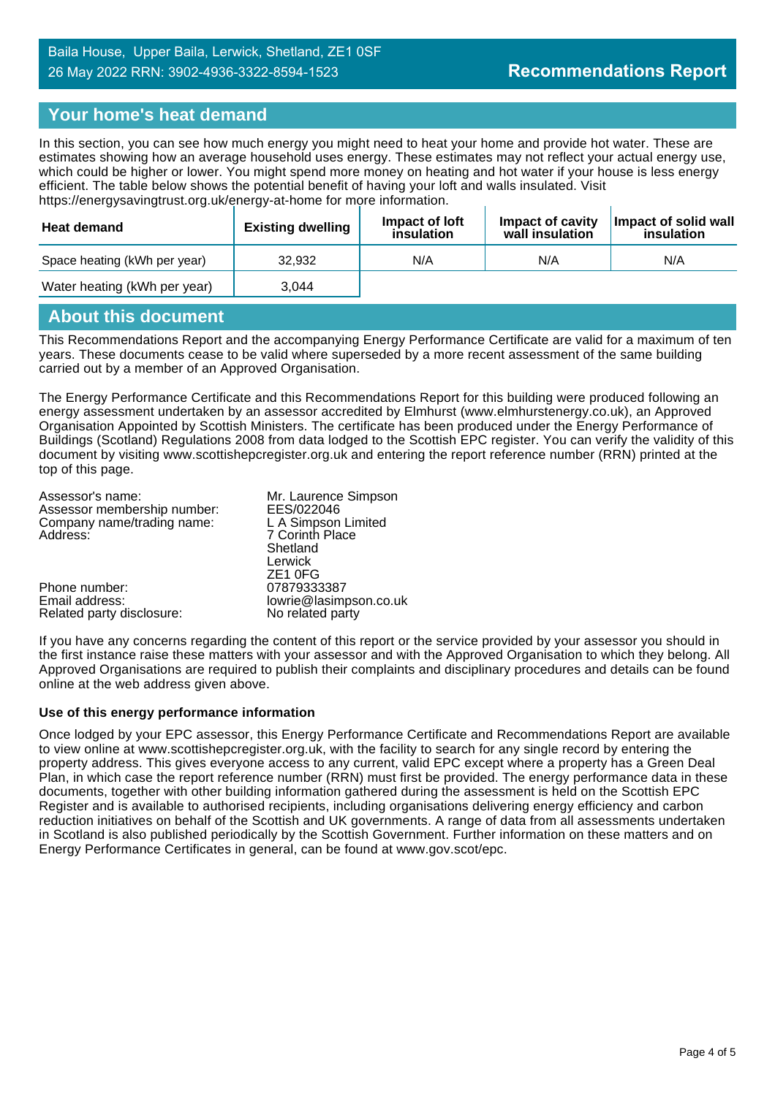## **Your home's heat demand**

In this section, you can see how much energy you might need to heat your home and provide hot water. These are estimates showing how an average household uses energy. These estimates may not reflect your actual energy use, which could be higher or lower. You might spend more money on heating and hot water if your house is less energy efficient. The table below shows the potential benefit of having your loft and walls insulated. Visit https://energysavingtrust.org.uk/energy-at-home for more information.

| Heat demand                  | <b>Existing dwelling</b> | Impact of loft<br>insulation | Impact of cavity<br>wall insulation | Impact of solid wall<br>insulation |
|------------------------------|--------------------------|------------------------------|-------------------------------------|------------------------------------|
| Space heating (kWh per year) | 32.932                   | N/A                          | N/A                                 | N/A                                |
| Water heating (kWh per year) | 3.044                    |                              |                                     |                                    |

## **About this document**

This Recommendations Report and the accompanying Energy Performance Certificate are valid for a maximum of ten years. These documents cease to be valid where superseded by a more recent assessment of the same building carried out by a member of an Approved Organisation.

The Energy Performance Certificate and this Recommendations Report for this building were produced following an energy assessment undertaken by an assessor accredited by Elmhurst (www.elmhurstenergy.co.uk), an Approved Organisation Appointed by Scottish Ministers. The certificate has been produced under the Energy Performance of Buildings (Scotland) Regulations 2008 from data lodged to the Scottish EPC register. You can verify the validity of this document by visiting www.scottishepcregister.org.uk and entering the report reference number (RRN) printed at the top of this page.

| Assessor's name:            | Mr. Laurence Simpson   |
|-----------------------------|------------------------|
| Assessor membership number: | EES/022046             |
| Company name/trading name:  | L A Simpson Limited    |
| Address:                    | 7 Corinth Place        |
|                             | Shetland               |
|                             | Lerwick                |
|                             | ZE <sub>1</sub> OFG    |
| Phone number:               | 07879333387            |
| Email address:              | lowrie@lasimpson.co.uk |
| Related party disclosure:   | No related party       |

If you have any concerns regarding the content of this report or the service provided by your assessor you should in the first instance raise these matters with your assessor and with the Approved Organisation to which they belong. All Approved Organisations are required to publish their complaints and disciplinary procedures and details can be found online at the web address given above.

#### **Use of this energy performance information**

Once lodged by your EPC assessor, this Energy Performance Certificate and Recommendations Report are available to view online at www.scottishepcregister.org.uk, with the facility to search for any single record by entering the property address. This gives everyone access to any current, valid EPC except where a property has a Green Deal Plan, in which case the report reference number (RRN) must first be provided. The energy performance data in these documents, together with other building information gathered during the assessment is held on the Scottish EPC Register and is available to authorised recipients, including organisations delivering energy efficiency and carbon reduction initiatives on behalf of the Scottish and UK governments. A range of data from all assessments undertaken in Scotland is also published periodically by the Scottish Government. Further information on these matters and on Energy Performance Certificates in general, can be found at www.gov.scot/epc.